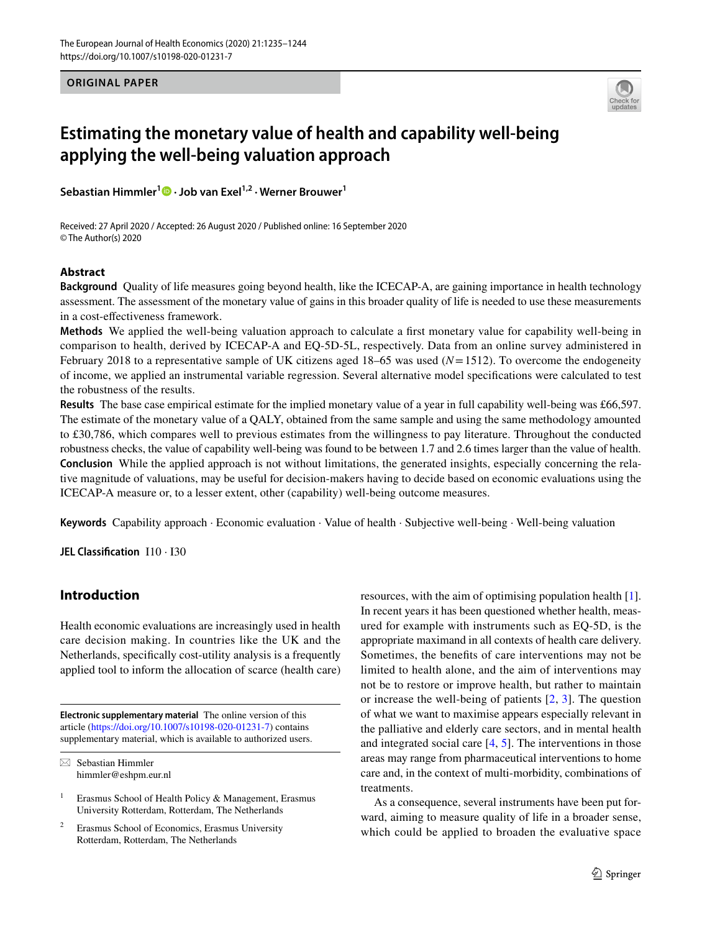**ORIGINAL PAPER**



# **Estimating the monetary value of health and capability well‑being applying the well‑being valuation approach**

**Sebastian Himmler1  [·](http://orcid.org/0000-0002-6565-5353) Job van Exel1,2 · Werner Brouwer1**

Received: 27 April 2020 / Accepted: 26 August 2020 / Published online: 16 September 2020 © The Author(s) 2020

## **Abstract**

**Background** Quality of life measures going beyond health, like the ICECAP-A, are gaining importance in health technology assessment. The assessment of the monetary value of gains in this broader quality of life is needed to use these measurements in a cost-efectiveness framework.

**Methods** We applied the well-being valuation approach to calculate a frst monetary value for capability well-being in comparison to health, derived by ICECAP-A and EQ-5D-5L, respectively. Data from an online survey administered in February 2018 to a representative sample of UK citizens aged 18–65 was used (*N*=1512). To overcome the endogeneity of income, we applied an instrumental variable regression. Several alternative model specifcations were calculated to test the robustness of the results.

**Results** The base case empirical estimate for the implied monetary value of a year in full capability well-being was £66,597. The estimate of the monetary value of a QALY, obtained from the same sample and using the same methodology amounted to £30,786, which compares well to previous estimates from the willingness to pay literature. Throughout the conducted robustness checks, the value of capability well-being was found to be between 1.7 and 2.6 times larger than the value of health. **Conclusion** While the applied approach is not without limitations, the generated insights, especially concerning the relative magnitude of valuations, may be useful for decision-makers having to decide based on economic evaluations using the ICECAP-A measure or, to a lesser extent, other (capability) well-being outcome measures.

**Keywords** Capability approach · Economic evaluation · Value of health · Subjective well-being · Well-being valuation

**JEL Classifcation** I10 · I30

# **Introduction**

Health economic evaluations are increasingly used in health care decision making. In countries like the UK and the Netherlands, specifcally cost-utility analysis is a frequently applied tool to inform the allocation of scarce (health care)

**Electronic supplementary material** The online version of this article [\(https://doi.org/10.1007/s10198-020-01231-7\)](https://doi.org/10.1007/s10198-020-01231-7) contains supplementary material, which is available to authorized users. resources, with the aim of optimising population health [\[1](#page-7-0)]. In recent years it has been questioned whether health, measured for example with instruments such as EQ-5D, is the appropriate maximand in all contexts of health care delivery. Sometimes, the benefts of care interventions may not be limited to health alone, and the aim of interventions may not be to restore or improve health, but rather to maintain or increase the well-being of patients [\[2](#page-7-1), [3\]](#page-7-2). The question of what we want to maximise appears especially relevant in the palliative and elderly care sectors, and in mental health and integrated social care [\[4](#page-7-3), [5](#page-7-4)]. The interventions in those areas may range from pharmaceutical interventions to home care and, in the context of multi-morbidity, combinations of treatments.

As a consequence, several instruments have been put forward, aiming to measure quality of life in a broader sense, which could be applied to broaden the evaluative space

 $\boxtimes$  Sebastian Himmler himmler@eshpm.eur.nl

Erasmus School of Health Policy & Management, Erasmus University Rotterdam, Rotterdam, The Netherlands

Erasmus School of Economics, Erasmus University Rotterdam, Rotterdam, The Netherlands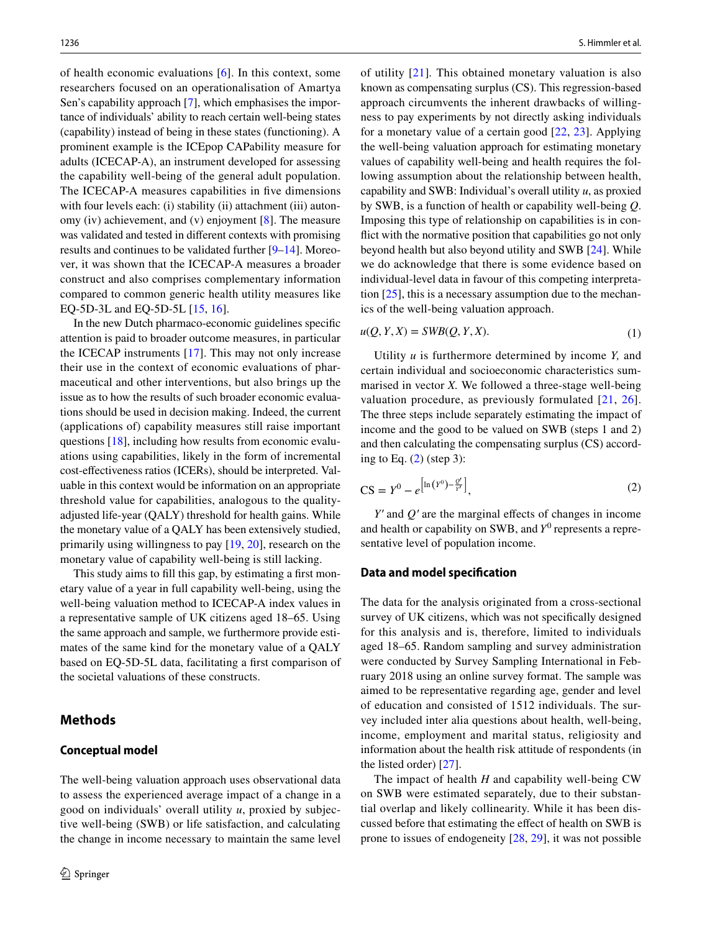of health economic evaluations [[6\]](#page-7-5). In this context, some researchers focused on an operationalisation of Amartya Sen's capability approach [\[7](#page-7-6)], which emphasises the importance of individuals' ability to reach certain well-being states (capability) instead of being in these states (functioning). A prominent example is the ICEpop CAPability measure for adults (ICECAP-A), an instrument developed for assessing the capability well-being of the general adult population. The ICECAP-A measures capabilities in five dimensions with four levels each: (i) stability (ii) attachment (iii) autonomy (iv) achievement, and (v) enjoyment [[8\]](#page-7-7). The measure was validated and tested in diferent contexts with promising results and continues to be validated further [\[9–](#page-7-8)[14\]](#page-8-0). Moreover, it was shown that the ICECAP-A measures a broader construct and also comprises complementary information compared to common generic health utility measures like EQ-5D-3L and EQ-5D-5L [[15,](#page-8-1) [16\]](#page-8-2).

In the new Dutch pharmaco-economic guidelines specifc attention is paid to broader outcome measures, in particular the ICECAP instruments [\[17](#page-8-3)]. This may not only increase their use in the context of economic evaluations of pharmaceutical and other interventions, but also brings up the issue as to how the results of such broader economic evaluations should be used in decision making. Indeed, the current (applications of) capability measures still raise important questions [[18\]](#page-8-4), including how results from economic evaluations using capabilities, likely in the form of incremental cost-efectiveness ratios (ICERs), should be interpreted. Valuable in this context would be information on an appropriate threshold value for capabilities, analogous to the qualityadjusted life-year (QALY) threshold for health gains. While the monetary value of a QALY has been extensively studied, primarily using willingness to pay [[19,](#page-8-5) [20\]](#page-8-6), research on the monetary value of capability well-being is still lacking.

This study aims to fll this gap, by estimating a frst monetary value of a year in full capability well-being, using the well-being valuation method to ICECAP-A index values in a representative sample of UK citizens aged 18–65. Using the same approach and sample, we furthermore provide estimates of the same kind for the monetary value of a QALY based on EQ-5D-5L data, facilitating a frst comparison of the societal valuations of these constructs.

#### **Methods**

#### **Conceptual model**

The well-being valuation approach uses observational data to assess the experienced average impact of a change in a good on individuals' overall utility *u*, proxied by subjective well-being (SWB) or life satisfaction, and calculating the change in income necessary to maintain the same level of utility [\[21\]](#page-8-7)*.* This obtained monetary valuation is also known as compensating surplus (CS). This regression-based approach circumvents the inherent drawbacks of willingness to pay experiments by not directly asking individuals for a monetary value of a certain good [[22](#page-8-8), [23](#page-8-9)]. Applying the well-being valuation approach for estimating monetary values of capability well-being and health requires the following assumption about the relationship between health, capability and SWB: Individual's overall utility *u*, as proxied by SWB, is a function of health or capability well-being *Q*. Imposing this type of relationship on capabilities is in confict with the normative position that capabilities go not only beyond health but also beyond utility and SWB [\[24](#page-8-10)]. While we do acknowledge that there is some evidence based on individual-level data in favour of this competing interpretation  $[25]$ , this is a necessary assumption due to the mechanics of the well-being valuation approach.

$$
u(Q, Y, X) = SWB(Q, Y, X).
$$
\n<sup>(1)</sup>

Utility *u* is furthermore determined by income *Y,* and certain individual and socioeconomic characteristics summarised in vector *X.* We followed a three-stage well-being valuation procedure, as previously formulated [[21](#page-8-7), [26](#page-8-12)]. The three steps include separately estimating the impact of income and the good to be valued on SWB (steps 1 and 2) and then calculating the compensating surplus (CS) according to Eq.  $(2)$  $(2)$  (step 3):

<span id="page-1-0"></span>
$$
CS = Y^0 - e^{\left[\ln(Y^0) - \frac{Q'}{Y'}\right]},\tag{2}
$$

*Y*<sup>*'*</sup> and *Q*<sup>*'*</sup> are the marginal effects of changes in income and health or capability on SWB, and  $Y^0$  represents a representative level of population income.

#### **Data and model specifcation**

The data for the analysis originated from a cross-sectional survey of UK citizens, which was not specifcally designed for this analysis and is, therefore, limited to individuals aged 18–65. Random sampling and survey administration were conducted by Survey Sampling International in February 2018 using an online survey format. The sample was aimed to be representative regarding age, gender and level of education and consisted of 1512 individuals. The survey included inter alia questions about health, well-being, income, employment and marital status, religiosity and information about the health risk attitude of respondents (in the listed order) [[27\]](#page-8-13).

The impact of health *H* and capability well-being CW on SWB were estimated separately, due to their substantial overlap and likely collinearity. While it has been discussed before that estimating the efect of health on SWB is prone to issues of endogeneity [\[28](#page-8-14), [29\]](#page-8-15), it was not possible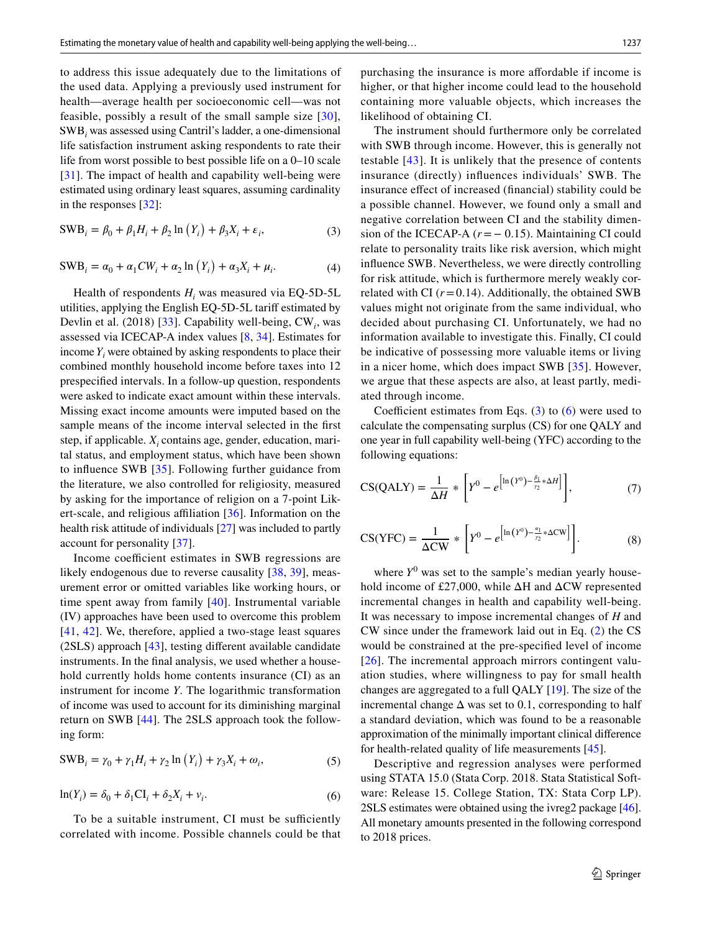to address this issue adequately due to the limitations of the used data. Applying a previously used instrument for health—average health per socioeconomic cell—was not feasible, possibly a result of the small sample size [[30](#page-8-16)], SWB*<sup>i</sup>* was assessed using Cantril's ladder, a one-dimensional life satisfaction instrument asking respondents to rate their life from worst possible to best possible life on a 0–10 scale [\[31\]](#page-8-17). The impact of health and capability well-being were estimated using ordinary least squares, assuming cardinality in the responses [\[32](#page-8-18)]:

$$
SWB_i = \beta_0 + \beta_1 H_i + \beta_2 \ln(Y_i) + \beta_3 X_i + \varepsilon_i,
$$
\n(3)

$$
SWBi = \alpha_0 + \alpha_1 CW_i + \alpha_2 \ln(Y_i) + \alpha_3 X_i + \mu_i.
$$
 (4)

Health of respondents *Hi* was measured via EQ-5D-5L utilities, applying the English EQ-5D-5L tarif estimated by Devlin et al. (2018) [\[33\]](#page-8-19). Capability well-being, CW<sub>i</sub>, was assessed via ICECAP-A index values [\[8](#page-7-7), [34\]](#page-8-20). Estimates for income  $Y_i$  were obtained by asking respondents to place their combined monthly household income before taxes into 12 prespecifed intervals. In a follow-up question, respondents were asked to indicate exact amount within these intervals. Missing exact income amounts were imputed based on the sample means of the income interval selected in the frst step, if applicable. *Xi* contains age, gender, education, marital status, and employment status, which have been shown to infuence SWB [[35](#page-8-21)]. Following further guidance from the literature, we also controlled for religiosity, measured by asking for the importance of religion on a 7-point Lik-ert-scale, and religious affiliation [[36](#page-8-22)]. Information on the health risk attitude of individuals [\[27\]](#page-8-13) was included to partly account for personality [[37\]](#page-8-23).

Income coefficient estimates in SWB regressions are likely endogenous due to reverse causality [\[38,](#page-8-24) [39](#page-8-25)], measurement error or omitted variables like working hours, or time spent away from family [\[40\]](#page-8-26). Instrumental variable (IV) approaches have been used to overcome this problem [[41,](#page-8-27) [42\]](#page-8-28). We, therefore, applied a two-stage least squares (2SLS) approach [[43](#page-8-29)], testing diferent available candidate instruments. In the fnal analysis, we used whether a household currently holds home contents insurance (CI) as an instrument for income *Y*. The logarithmic transformation of income was used to account for its diminishing marginal return on SWB [[44\]](#page-8-30). The 2SLS approach took the following form:

$$
SWB_i = \gamma_0 + \gamma_1 H_i + \gamma_2 \ln(Y_i) + \gamma_3 X_i + \omega_i,
$$
\n<sup>(5)</sup>

$$
\ln(Y_i) = \delta_0 + \delta_1 \mathbf{C} \mathbf{I}_i + \delta_2 X_i + v_i. \tag{6}
$$

To be a suitable instrument, CI must be sufficiently correlated with income. Possible channels could be that purchasing the insurance is more afordable if income is higher, or that higher income could lead to the household containing more valuable objects, which increases the likelihood of obtaining CI.

<span id="page-2-1"></span><span id="page-2-0"></span>The instrument should furthermore only be correlated with SWB through income. However, this is generally not testable [\[43\]](#page-8-29). It is unlikely that the presence of contents insurance (directly) infuences individuals' SWB. The insurance efect of increased (fnancial) stability could be a possible channel. However, we found only a small and negative correlation between CI and the stability dimension of the ICECAP-A  $(r = -0.15)$ . Maintaining CI could relate to personality traits like risk aversion, which might infuence SWB. Nevertheless, we were directly controlling for risk attitude, which is furthermore merely weakly correlated with CI  $(r=0.14)$ . Additionally, the obtained SWB values might not originate from the same individual, who decided about purchasing CI. Unfortunately, we had no information available to investigate this. Finally, CI could be indicative of possessing more valuable items or living in a nicer home, which does impact SWB [[35\]](#page-8-21). However, we argue that these aspects are also, at least partly, mediated through income.

Coefficient estimates from Eqs.  $(3)$  $(3)$  to  $(6)$  $(6)$  were used to calculate the compensating surplus (CS) for one QALY and one year in full capability well-being (YFC) according to the following equations:

<span id="page-2-2"></span>
$$
\text{CS(QALY)} = \frac{1}{\Delta H} * \left[ Y^0 - e^{\left[ \ln \left( Y^0 \right) - \frac{\beta_1}{r_2} * \Delta H \right]} \right],\tag{7}
$$

<span id="page-2-3"></span>
$$
\text{CS(YFC)} = \frac{1}{\Delta \text{CW}} * \left[ Y^0 - e^{\left[ \ln \left( Y^0 \right) - \frac{\alpha_1}{r_2} * \Delta \text{CW} \right]} \right]. \tag{8}
$$

where  $Y^0$  was set to the sample's median yearly household income of £27,000, while  $\Delta H$  and  $\Delta CW$  represented incremental changes in health and capability well-being. It was necessary to impose incremental changes of *H* and CW since under the framework laid out in Eq. ([2\)](#page-1-0) the CS would be constrained at the pre-specifed level of income [[26](#page-8-12)]. The incremental approach mirrors contingent valuation studies, where willingness to pay for small health changes are aggregated to a full QALY [\[19](#page-8-5)]. The size of the incremental change  $\Delta$  was set to 0.1, corresponding to half a standard deviation, which was found to be a reasonable approximation of the minimally important clinical diference for health-related quality of life measurements [[45\]](#page-8-31).

Descriptive and regression analyses were performed using STATA 15.0 (Stata Corp. 2018. Stata Statistical Software: Release 15. College Station, TX: Stata Corp LP). 2SLS estimates were obtained using the ivreg2 package [[46](#page-8-32)]. All monetary amounts presented in the following correspond to 2018 prices.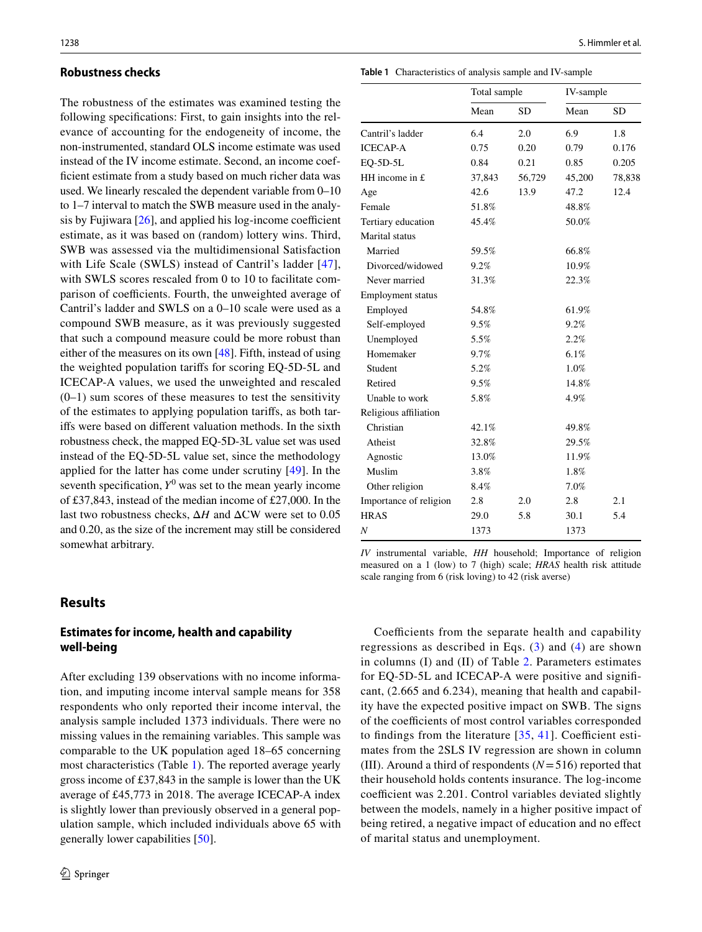#### **Robustness checks**

The robustness of the estimates was examined testing the following specifcations: First, to gain insights into the relevance of accounting for the endogeneity of income, the non-instrumented, standard OLS income estimate was used instead of the IV income estimate. Second, an income coeffcient estimate from a study based on much richer data was used. We linearly rescaled the dependent variable from 0–10 to 1–7 interval to match the SWB measure used in the analysis by Fujiwara  $[26]$ , and applied his log-income coefficient estimate, as it was based on (random) lottery wins. Third, SWB was assessed via the multidimensional Satisfaction with Life Scale (SWLS) instead of Cantril's ladder [[47](#page-8-33)], with SWLS scores rescaled from 0 to 10 to facilitate comparison of coefficients. Fourth, the unweighted average of Cantril's ladder and SWLS on a 0–10 scale were used as a compound SWB measure, as it was previously suggested that such a compound measure could be more robust than either of the measures on its own [\[48](#page-8-34)]. Fifth, instead of using the weighted population tarifs for scoring EQ-5D-5L and ICECAP-A values, we used the unweighted and rescaled  $(0-1)$  sum scores of these measures to test the sensitivity of the estimates to applying population tarifs, as both tarifs were based on diferent valuation methods. In the sixth robustness check, the mapped EQ-5D-3L value set was used instead of the EQ-5D-5L value set, since the methodology applied for the latter has come under scrutiny [[49\]](#page-8-35). In the seventh specification,  $Y^0$  was set to the mean yearly income of £37,843, instead of the median income of £27,000. In the last two robustness checks, Δ*H* and ΔCW were set to 0.05 and 0.20, as the size of the increment may still be considered somewhat arbitrary.

#### **Results**

#### **Estimates for income, health and capability well‑being**

After excluding 139 observations with no income information, and imputing income interval sample means for 358 respondents who only reported their income interval, the analysis sample included 1373 individuals. There were no missing values in the remaining variables. This sample was comparable to the UK population aged 18–65 concerning most characteristics (Table [1\)](#page-3-0). The reported average yearly gross income of £37,843 in the sample is lower than the UK average of £45,773 in 2018. The average ICECAP-A index is slightly lower than previously observed in a general population sample, which included individuals above 65 with generally lower capabilities [[50\]](#page-9-0).

<span id="page-3-0"></span>

| Table 1 Characteristics of analysis sample and IV-sample |
|----------------------------------------------------------|
|----------------------------------------------------------|

|                          | Total sample |           | IV-sample |           |
|--------------------------|--------------|-----------|-----------|-----------|
|                          | Mean         | <b>SD</b> | Mean      | <b>SD</b> |
| Cantril's ladder         | 6.4          | 2.0       | 6.9       | 1.8       |
| <b>ICECAP-A</b>          | 0.75         | 0.20      | 0.79      | 0.176     |
| EQ-5D-5L                 | 0.84         | 0.21      | 0.85      | 0.205     |
| HH income in $E$         | 37,843       | 56,729    | 45,200    | 78,838    |
| Age                      | 42.6         | 13.9      | 47.2      | 12.4      |
| Female                   | 51.8%        |           | 48.8%     |           |
| Tertiary education       | 45.4%        |           | 50.0%     |           |
| Marital status           |              |           |           |           |
| Married                  | 59.5%        |           | 66.8%     |           |
| Divorced/widowed         | 9.2%         |           | 10.9%     |           |
| Never married            | 31.3%        |           | 22.3%     |           |
| <b>Employment</b> status |              |           |           |           |
| Employed                 | 54.8%        |           | 61.9%     |           |
| Self-employed            | 9.5%         |           | 9.2%      |           |
| Unemployed               | 5.5%         |           | 2.2%      |           |
| Homemaker                | 9.7%         |           | 6.1%      |           |
| Student                  | 5.2%         |           | 1.0%      |           |
| Retired                  | 9.5%         |           | 14.8%     |           |
| Unable to work           | 5.8%         |           | 4.9%      |           |
| Religious affiliation    |              |           |           |           |
| Christian                | 42.1%        |           | 49.8%     |           |
| Atheist                  | 32.8%        |           | 29.5%     |           |
| Agnostic                 | 13.0%        |           | 11.9%     |           |
| Muslim                   | 3.8%         |           | 1.8%      |           |
| Other religion           | 8.4%         |           | 7.0%      |           |
| Importance of religion   | 2.8          | 2.0       | 2.8       | 2.1       |
| <b>HRAS</b>              | 29.0         | 5.8       | 30.1      | 5.4       |
| N                        | 1373         |           | 1373      |           |
|                          |              |           |           |           |

*IV* instrumental variable, *HH* household; Importance of religion measured on a 1 (low) to 7 (high) scale; *HRAS* health risk attitude scale ranging from 6 (risk loving) to 42 (risk averse)

Coefficients from the separate health and capability regressions as described in Eqs. ([3\)](#page-2-0) and ([4](#page-2-1)) are shown in columns (I) and (II) of Table [2](#page-4-0). Parameters estimates for EQ-5D-5L and ICECAP-A were positive and signifcant, (2.665 and 6.234), meaning that health and capability have the expected positive impact on SWB. The signs of the coefficients of most control variables corresponded to findings from the literature  $[35, 41]$  $[35, 41]$  $[35, 41]$  $[35, 41]$  $[35, 41]$ . Coefficient estimates from the 2SLS IV regression are shown in column (III). Around a third of respondents (*N*=516) reported that their household holds contents insurance. The log-income coefficient was 2.201. Control variables deviated slightly between the models, namely in a higher positive impact of being retired, a negative impact of education and no efect of marital status and unemployment.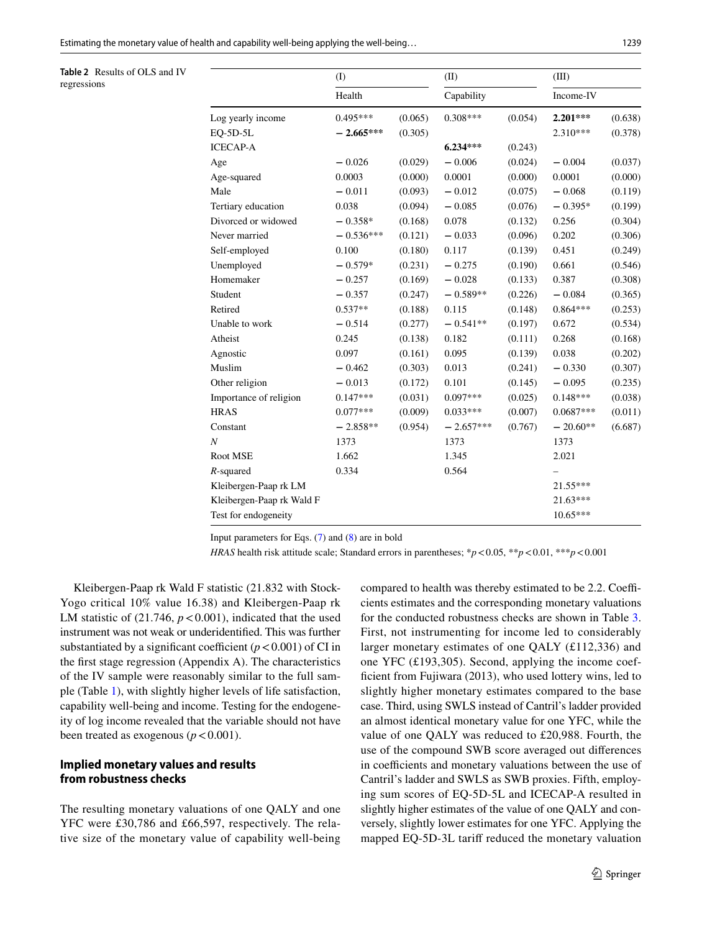<span id="page-4-0"></span>Estimating the monetary value of health and capability well-being applying the well-being… 1239

|                           | (I)         |         | (II)        |         | (III)       |         |
|---------------------------|-------------|---------|-------------|---------|-------------|---------|
|                           | Health      |         | Capability  |         | Income-IV   |         |
| Log yearly income         | $0.495***$  | (0.065) | $0.308***$  | (0.054) | 2.201***    | (0.638) |
| $EQ-5D-5L$                | $-2.665***$ | (0.305) |             |         | $2.310***$  | (0.378) |
| <b>ICECAP-A</b>           |             |         | $6.234***$  | (0.243) |             |         |
| Age                       | $-0.026$    | (0.029) | $-0.006$    | (0.024) | $-0.004$    | (0.037) |
| Age-squared               | 0.0003      | (0.000) | 0.0001      | (0.000) | 0.0001      | (0.000) |
| Male                      | $-0.011$    | (0.093) | $-0.012$    | (0.075) | $-0.068$    | (0.119) |
| Tertiary education        | 0.038       | (0.094) | $-0.085$    | (0.076) | $-0.395*$   | (0.199) |
| Divorced or widowed       | $-0.358*$   | (0.168) | 0.078       | (0.132) | 0.256       | (0.304) |
| Never married             | $-0.536***$ | (0.121) | $-0.033$    | (0.096) | 0.202       | (0.306) |
| Self-employed             | 0.100       | (0.180) | 0.117       | (0.139) | 0.451       | (0.249) |
| Unemployed                | $-0.579*$   | (0.231) | $-0.275$    | (0.190) | 0.661       | (0.546) |
| Homemaker                 | $-0.257$    | (0.169) | $-0.028$    | (0.133) | 0.387       | (0.308) |
| Student                   | $-0.357$    | (0.247) | $-0.589**$  | (0.226) | $-0.084$    | (0.365) |
| Retired                   | $0.537**$   | (0.188) | 0.115       | (0.148) | $0.864***$  | (0.253) |
| Unable to work            | $-0.514$    | (0.277) | $-0.541**$  | (0.197) | 0.672       | (0.534) |
| Atheist                   | 0.245       | (0.138) | 0.182       | (0.111) | 0.268       | (0.168) |
| Agnostic                  | 0.097       | (0.161) | 0.095       | (0.139) | 0.038       | (0.202) |
| Muslim                    | $-0.462$    | (0.303) | 0.013       | (0.241) | $-0.330$    | (0.307) |
| Other religion            | $-0.013$    | (0.172) | 0.101       | (0.145) | $-0.095$    | (0.235) |
| Importance of religion    | $0.147***$  | (0.031) | $0.097***$  | (0.025) | $0.148***$  | (0.038) |
| <b>HRAS</b>               | $0.077***$  | (0.009) | $0.033***$  | (0.007) | $0.0687***$ | (0.011) |
| Constant                  | $-2.858**$  | (0.954) | $-2.657***$ | (0.767) | $-20.60**$  | (6.687) |
| Ν                         | 1373        |         | 1373        |         | 1373        |         |
| Root MSE                  | 1.662       |         | 1.345       |         | 2.021       |         |
| $R$ -squared              | 0.334       |         | 0.564       |         |             |         |
| Kleibergen-Paap rk LM     |             |         |             |         | 21.55***    |         |
| Kleibergen-Paap rk Wald F |             |         |             |         | 21.63***    |         |
| Test for endogeneity      |             |         |             |         | $10.65***$  |         |

Input parameters for Eqs. ([7\)](#page-2-2) and ([8](#page-2-3)) are in bold

*HRAS* health risk attitude scale; Standard errors in parentheses; \**p*<0.05, \*\**p*<0.01, \*\*\**p*<0.001

Kleibergen-Paap rk Wald F statistic (21.832 with Stock-Yogo critical 10% value 16.38) and Kleibergen-Paap rk LM statistic of  $(21.746, p < 0.001)$ , indicated that the used instrument was not weak or underidentifed. This was further substantiated by a significant coefficient  $(p < 0.001)$  of CI in the frst stage regression (Appendix A). The characteristics of the IV sample were reasonably similar to the full sample (Table [1](#page-3-0)), with slightly higher levels of life satisfaction, capability well-being and income. Testing for the endogeneity of log income revealed that the variable should not have been treated as exogenous  $(p < 0.001)$ .

## **Implied monetary values and results from robustness checks**

The resulting monetary valuations of one QALY and one YFC were £30,786 and £66,597, respectively. The relative size of the monetary value of capability well-being

compared to health was thereby estimated to be 2.2. Coefficients estimates and the corresponding monetary valuations for the conducted robustness checks are shown in Table [3.](#page-5-0) First, not instrumenting for income led to considerably larger monetary estimates of one QALY (£112,336) and one YFC (£193,305). Second, applying the income coeffcient from Fujiwara (2013), who used lottery wins, led to slightly higher monetary estimates compared to the base case. Third, using SWLS instead of Cantril's ladder provided an almost identical monetary value for one YFC, while the value of one QALY was reduced to £20,988. Fourth, the use of the compound SWB score averaged out diferences in coefficients and monetary valuations between the use of Cantril's ladder and SWLS as SWB proxies. Fifth, employing sum scores of EQ-5D-5L and ICECAP-A resulted in slightly higher estimates of the value of one QALY and conversely, slightly lower estimates for one YFC. Applying the mapped EQ-5D-3L tarif reduced the monetary valuation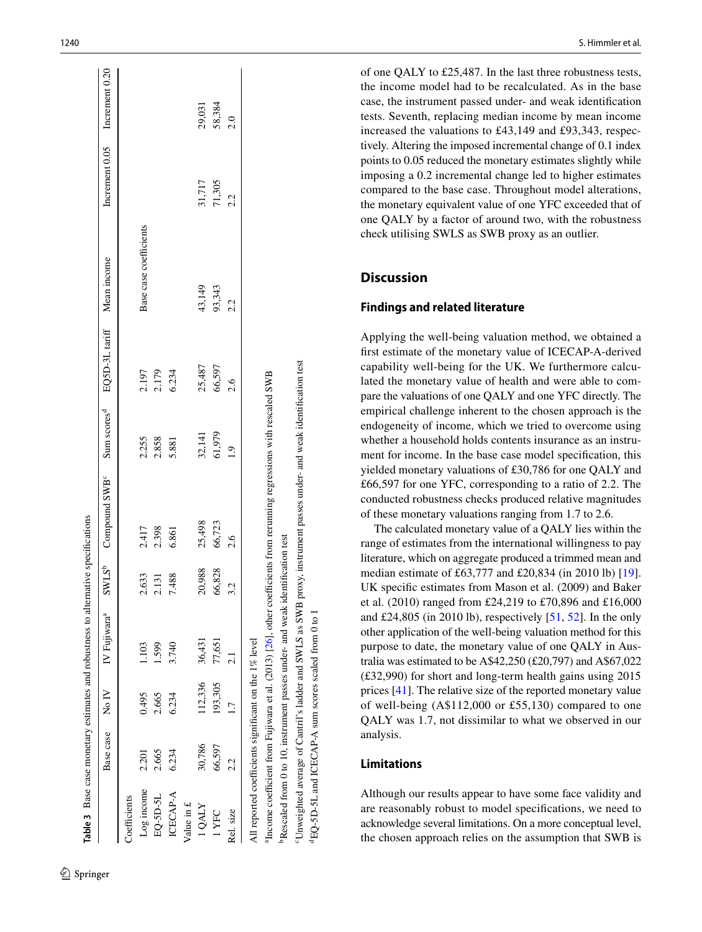|                                                       |           |               | Table 3 Base case monetary estimates and robustness to alternation                        |                        | ive specifications                                                                                                               |                         |                            |                        |                               |        |
|-------------------------------------------------------|-----------|---------------|-------------------------------------------------------------------------------------------|------------------------|----------------------------------------------------------------------------------------------------------------------------------|-------------------------|----------------------------|------------------------|-------------------------------|--------|
|                                                       | Base case | $\frac{N}{N}$ | IV Fujiwara <sup>a</sup>                                                                  | $\text{SWLS}^\text{b}$ | Compound SWB <sup>c</sup>                                                                                                        | Sum scores <sup>d</sup> | EQ5D-3L tariff Mean income |                        | Increment 0.05 Increment 0.20 |        |
| Coefficients                                          |           |               |                                                                                           |                        |                                                                                                                                  |                         |                            |                        |                               |        |
| Log income                                            | 2.201     | 0.495         | 1.103                                                                                     | 2.633                  | 2.417                                                                                                                            | 2.255                   | 2.197                      | Base case coefficients |                               |        |
| EQ-5D-5L                                              | 2.665     | 2.665         | 1.599                                                                                     | 2.131                  | 2.398                                                                                                                            | 2.858                   | 2.179<br>6.234             |                        |                               |        |
| ICECAP-A                                              | 6.234     | 6.234         | 3.740                                                                                     | 7.488                  | 6.861                                                                                                                            | 5.881                   |                            |                        |                               |        |
| Value in $\pounds$                                    |           |               |                                                                                           |                        |                                                                                                                                  |                         |                            |                        |                               |        |
| <b>IOALY</b>                                          | 30,786    | 112,336       | 36,431                                                                                    | 20,988                 | 25,498                                                                                                                           | 32,141                  | 25,487                     | 43,149                 | 31,717                        | 29,031 |
| 1YFC                                                  | 66,597    | 193,305       | 77,651                                                                                    | 66,828                 | 66,723                                                                                                                           | 61,979                  | 66,597                     | 93,343                 | 71,305                        | 58,384 |
| Rel. size                                             | 2.2       |               |                                                                                           | 32                     | 2.6                                                                                                                              | $\overline{6}$          | $2.6\,$                    | 2.2                    | 2.2                           | 2.0    |
| All reported coefficients significant on the 1% level |           |               |                                                                                           |                        |                                                                                                                                  |                         |                            |                        |                               |        |
|                                                       |           |               |                                                                                           |                        | <sup>a</sup> Income coefficient from Fujiwara et al. (2013) [26], other coefficients from reruming regressions with rescaled SWB |                         |                            |                        |                               |        |
|                                                       |           |               | <sup>b</sup> Rescaled from 0 to 10, instrument passes under- and weak identification test |                        |                                                                                                                                  |                         |                            |                        |                               |        |

of one QALY to £25,487. In the last three robustness tests, the income model had to be recalculated. As in the base case, the instrument passed under- and weak identifcation tests. Seventh, replacing median income by mean income increased the valuations to £43,149 and £93,343, respec tively. Altering the imposed incremental change of 0.1 index points to 0.05 reduced the monetary estimates slightly while imposing a 0.2 incremental change led to higher estimates compared to the base case. Throughout model alterations, the monetary equivalent value of one YFC exceeded that of one QALY by a factor of around two, with the robustness check utilising SWLS as SWB proxy as an outlier.

# **Discussion**

#### **Findings and related literature**

Applying the well-being valuation method, we obtained a frst estimate of the monetary value of ICECAP-A-derived capability well-being for the UK. We furthermore calcu lated the monetary value of health and were able to com pare the valuations of one QALY and one YFC directly. The empirical challenge inherent to the chosen approach is the endogeneity of income, which we tried to overcome using whether a household holds contents insurance as an instrument for income. In the base case model specifcation, this yielded monetary valuations of £30,786 for one QALY and £66,597 for one YFC, corresponding to a ratio of 2.2. The conducted robustness checks produced relative magnitudes of these monetary valuations ranging from 1.7 to 2.6.

The calculated monetary value of a QALY lies within the range of estimates from the international willingness to pay literature, which on aggregate produced a trimmed mean and median estimate of £63,777 and £20,834 (in 2010 lb) [\[19](#page-8-5)]. UK specifc estimates from Mason et al. (2009) and Baker et al. (2010) ranged from £24,219 to £70,896 and £16,000 and £24,805 (in 2010 lb), respectively  $[51, 52]$  $[51, 52]$  $[51, 52]$ . In the only other application of the well-being valuation method for this purpose to date, the monetary value of one QALY in Aus tralia was estimated to be A\$42,250 (£20,797) and A\$67,022 (£32,990) for short and long-term health gains using 2015 prices [[41\]](#page-8-27). The relative size of the reported monetary value of well-being (A\$112,000 or £55,130) compared to one QALY was 1.7, not dissimilar to what we observed in our analysis.

# **Limitations**

cUnweighted average of Cantril's ladder and SWLS as SWB proxy, instrument passes under- and weak identifcation test

 $\overline{\mathbf{e}}$ 

Unweighted average of Cantril's ladder and SWLS as SWB proxy, instrument passes under- and weak identification test

dEQ-5D-5L and ICECAP-A sum scores scaled from 0 to 1

<sup>d</sup>EQ-5D-5L and ICECAP-A sum scores scaled from 0

<span id="page-5-0"></span>Although our results appear to have some face validity and are reasonably robust to model specifcations, we need to acknowledge several limitations. On a more conceptual level, the chosen approach relies on the assumption that SWB is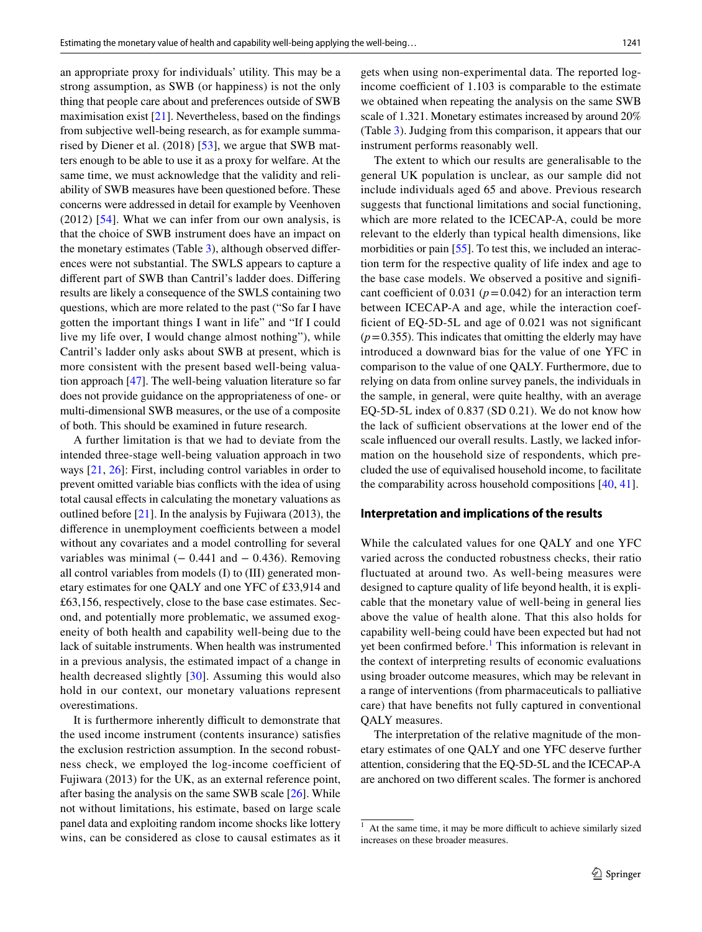an appropriate proxy for individuals' utility. This may be a strong assumption, as SWB (or happiness) is not the only thing that people care about and preferences outside of SWB maximisation exist [[21](#page-8-7)]. Nevertheless, based on the fndings from subjective well-being research, as for example summarised by Diener et al. (2018) [\[53](#page-9-3)], we argue that SWB matters enough to be able to use it as a proxy for welfare. At the same time, we must acknowledge that the validity and reliability of SWB measures have been questioned before. These concerns were addressed in detail for example by Veenhoven (2012) [[54](#page-9-4)]. What we can infer from our own analysis, is that the choice of SWB instrument does have an impact on the monetary estimates (Table [3\)](#page-5-0), although observed diferences were not substantial. The SWLS appears to capture a diferent part of SWB than Cantril's ladder does. Difering results are likely a consequence of the SWLS containing two questions, which are more related to the past ("So far I have gotten the important things I want in life" and "If I could live my life over, I would change almost nothing"), while Cantril's ladder only asks about SWB at present, which is more consistent with the present based well-being valuation approach [\[47](#page-8-33)]. The well-being valuation literature so far does not provide guidance on the appropriateness of one- or multi-dimensional SWB measures, or the use of a composite of both. This should be examined in future research.

A further limitation is that we had to deviate from the intended three-stage well-being valuation approach in two ways [\[21](#page-8-7), [26\]](#page-8-12): First, including control variables in order to prevent omitted variable bias conficts with the idea of using total causal efects in calculating the monetary valuations as outlined before [\[21](#page-8-7)]. In the analysis by Fujiwara (2013), the difference in unemployment coefficients between a model without any covariates and a model controlling for several variables was minimal  $(-0.441$  and  $-0.436)$ . Removing all control variables from models (I) to (III) generated monetary estimates for one QALY and one YFC of £33,914 and £63,156, respectively, close to the base case estimates. Second, and potentially more problematic, we assumed exogeneity of both health and capability well-being due to the lack of suitable instruments. When health was instrumented in a previous analysis, the estimated impact of a change in health decreased slightly [\[30](#page-8-16)]. Assuming this would also hold in our context, our monetary valuations represent overestimations.

It is furthermore inherently difficult to demonstrate that the used income instrument (contents insurance) satisfes the exclusion restriction assumption. In the second robustness check, we employed the log-income coefficient of Fujiwara (2013) for the UK, as an external reference point, after basing the analysis on the same SWB scale [[26\]](#page-8-12). While not without limitations, his estimate, based on large scale panel data and exploiting random income shocks like lottery wins, can be considered as close to causal estimates as it gets when using non-experimental data. The reported logincome coefficient of  $1.103$  is comparable to the estimate we obtained when repeating the analysis on the same SWB scale of 1.321. Monetary estimates increased by around 20% (Table [3](#page-5-0)). Judging from this comparison, it appears that our instrument performs reasonably well.

The extent to which our results are generalisable to the general UK population is unclear, as our sample did not include individuals aged 65 and above. Previous research suggests that functional limitations and social functioning, which are more related to the ICECAP-A, could be more relevant to the elderly than typical health dimensions, like morbidities or pain [[55\]](#page-9-5). To test this, we included an interaction term for the respective quality of life index and age to the base case models. We observed a positive and signifcant coefficient of 0.031 ( $p = 0.042$ ) for an interaction term between ICECAP-A and age, while the interaction coefficient of EQ-5D-5L and age of 0.021 was not significant  $(p=0.355)$ . This indicates that omitting the elderly may have introduced a downward bias for the value of one YFC in comparison to the value of one QALY. Furthermore, due to relying on data from online survey panels, the individuals in the sample, in general, were quite healthy, with an average EQ-5D-5L index of 0.837 (SD 0.21). We do not know how the lack of sufficient observations at the lower end of the scale infuenced our overall results. Lastly, we lacked information on the household size of respondents, which precluded the use of equivalised household income, to facilitate the comparability across household compositions [[40](#page-8-26), [41](#page-8-27)].

#### **Interpretation and implications of the results**

While the calculated values for one QALY and one YFC varied across the conducted robustness checks, their ratio fluctuated at around two. As well-being measures were designed to capture quality of life beyond health, it is explicable that the monetary value of well-being in general lies above the value of health alone. That this also holds for capability well-being could have been expected but had not yet been confirmed before.<sup>[1](#page-6-0)</sup> This information is relevant in the context of interpreting results of economic evaluations using broader outcome measures, which may be relevant in a range of interventions (from pharmaceuticals to palliative care) that have benefts not fully captured in conventional QALY measures.

The interpretation of the relative magnitude of the monetary estimates of one QALY and one YFC deserve further attention, considering that the EQ-5D-5L and the ICECAP-A are anchored on two diferent scales. The former is anchored

<span id="page-6-0"></span> $1$  At the same time, it may be more difficult to achieve similarly sized increases on these broader measures.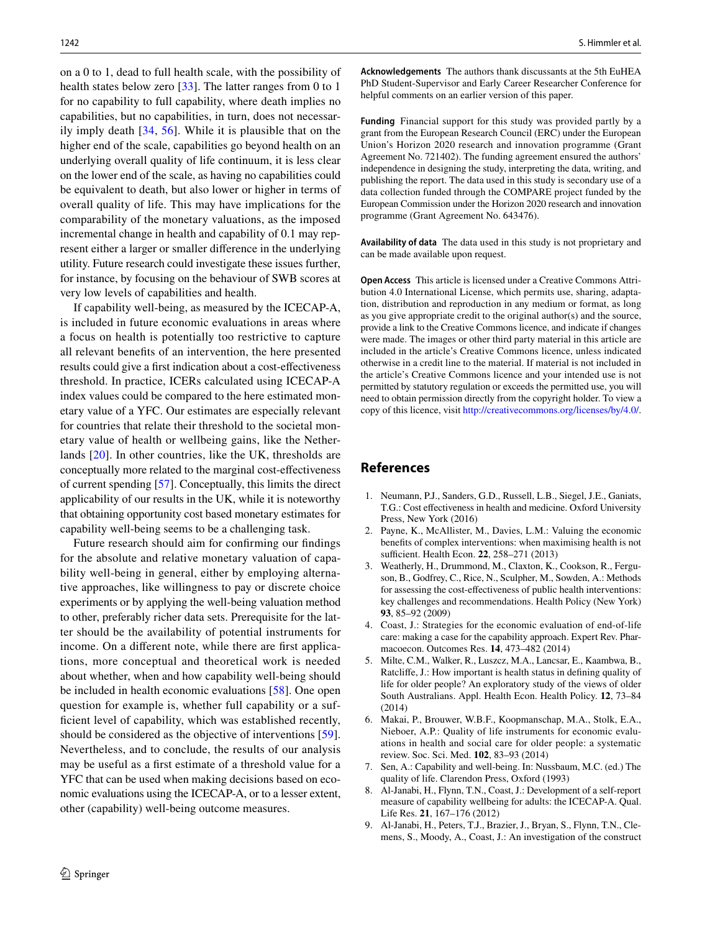on a 0 to 1, dead to full health scale, with the possibility of health states below zero [\[33](#page-8-19)]. The latter ranges from 0 to 1 for no capability to full capability, where death implies no capabilities, but no capabilities, in turn, does not necessarily imply death [[34](#page-8-20), [56](#page-9-6)]. While it is plausible that on the higher end of the scale, capabilities go beyond health on an underlying overall quality of life continuum, it is less clear on the lower end of the scale, as having no capabilities could be equivalent to death, but also lower or higher in terms of overall quality of life. This may have implications for the comparability of the monetary valuations, as the imposed incremental change in health and capability of 0.1 may represent either a larger or smaller diference in the underlying utility. Future research could investigate these issues further, for instance, by focusing on the behaviour of SWB scores at very low levels of capabilities and health.

If capability well-being, as measured by the ICECAP-A, is included in future economic evaluations in areas where a focus on health is potentially too restrictive to capture all relevant benefts of an intervention, the here presented results could give a frst indication about a cost-efectiveness threshold. In practice, ICERs calculated using ICECAP-A index values could be compared to the here estimated monetary value of a YFC. Our estimates are especially relevant for countries that relate their threshold to the societal monetary value of health or wellbeing gains, like the Netherlands [[20](#page-8-6)]. In other countries, like the UK, thresholds are conceptually more related to the marginal cost-efectiveness of current spending [\[57](#page-9-7)]. Conceptually, this limits the direct applicability of our results in the UK, while it is noteworthy that obtaining opportunity cost based monetary estimates for capability well-being seems to be a challenging task.

Future research should aim for confrming our fndings for the absolute and relative monetary valuation of capability well-being in general, either by employing alternative approaches, like willingness to pay or discrete choice experiments or by applying the well-being valuation method to other, preferably richer data sets. Prerequisite for the latter should be the availability of potential instruments for income. On a diferent note, while there are frst applications, more conceptual and theoretical work is needed about whether, when and how capability well-being should be included in health economic evaluations [[58\]](#page-9-8). One open question for example is, whether full capability or a suffcient level of capability, which was established recently, should be considered as the objective of interventions [\[59](#page-9-9)]. Nevertheless, and to conclude, the results of our analysis may be useful as a frst estimate of a threshold value for a YFC that can be used when making decisions based on economic evaluations using the ICECAP-A, or to a lesser extent, other (capability) well-being outcome measures.

**Acknowledgements** The authors thank discussants at the 5th EuHEA PhD Student-Supervisor and Early Career Researcher Conference for helpful comments on an earlier version of this paper.

**Funding** Financial support for this study was provided partly by a grant from the European Research Council (ERC) under the European Union's Horizon 2020 research and innovation programme (Grant Agreement No. 721402). The funding agreement ensured the authors' independence in designing the study, interpreting the data, writing, and publishing the report. The data used in this study is secondary use of a data collection funded through the COMPARE project funded by the European Commission under the Horizon 2020 research and innovation programme (Grant Agreement No. 643476).

**Availability of data** The data used in this study is not proprietary and can be made available upon request.

**Open Access** This article is licensed under a Creative Commons Attribution 4.0 International License, which permits use, sharing, adaptation, distribution and reproduction in any medium or format, as long as you give appropriate credit to the original author(s) and the source, provide a link to the Creative Commons licence, and indicate if changes were made. The images or other third party material in this article are included in the article's Creative Commons licence, unless indicated otherwise in a credit line to the material. If material is not included in the article's Creative Commons licence and your intended use is not permitted by statutory regulation or exceeds the permitted use, you will need to obtain permission directly from the copyright holder. To view a copy of this licence, visit<http://creativecommons.org/licenses/by/4.0/>.

## **References**

- <span id="page-7-0"></span>1. Neumann, P.J., Sanders, G.D., Russell, L.B., Siegel, J.E., Ganiats, T.G.: Cost effectiveness in health and medicine. Oxford University Press, New York (2016)
- <span id="page-7-1"></span>2. Payne, K., McAllister, M., Davies, L.M.: Valuing the economic benefts of complex interventions: when maximising health is not sufficient. Health Econ. **22**, 258–271 (2013)
- <span id="page-7-2"></span>3. Weatherly, H., Drummond, M., Claxton, K., Cookson, R., Ferguson, B., Godfrey, C., Rice, N., Sculpher, M., Sowden, A.: Methods for assessing the cost-efectiveness of public health interventions: key challenges and recommendations. Health Policy (New York) **93**, 85–92 (2009)
- <span id="page-7-3"></span>4. Coast, J.: Strategies for the economic evaluation of end-of-life care: making a case for the capability approach. Expert Rev. Pharmacoecon. Outcomes Res. **14**, 473–482 (2014)
- <span id="page-7-4"></span>5. Milte, C.M., Walker, R., Luszcz, M.A., Lancsar, E., Kaambwa, B., Ratclife, J.: How important is health status in defning quality of life for older people? An exploratory study of the views of older South Australians. Appl. Health Econ. Health Policy. **12**, 73–84 (2014)
- <span id="page-7-5"></span>6. Makai, P., Brouwer, W.B.F., Koopmanschap, M.A., Stolk, E.A., Nieboer, A.P.: Quality of life instruments for economic evaluations in health and social care for older people: a systematic review. Soc. Sci. Med. **102**, 83–93 (2014)
- <span id="page-7-6"></span>7. Sen, A.: Capability and well-being. In: Nussbaum, M.C. (ed.) The quality of life. Clarendon Press, Oxford (1993)
- <span id="page-7-7"></span>8. Al-Janabi, H., Flynn, T.N., Coast, J.: Development of a self-report measure of capability wellbeing for adults: the ICECAP-A. Qual. Life Res. **21**, 167–176 (2012)
- <span id="page-7-8"></span>9. Al-Janabi, H., Peters, T.J., Brazier, J., Bryan, S., Flynn, T.N., Clemens, S., Moody, A., Coast, J.: An investigation of the construct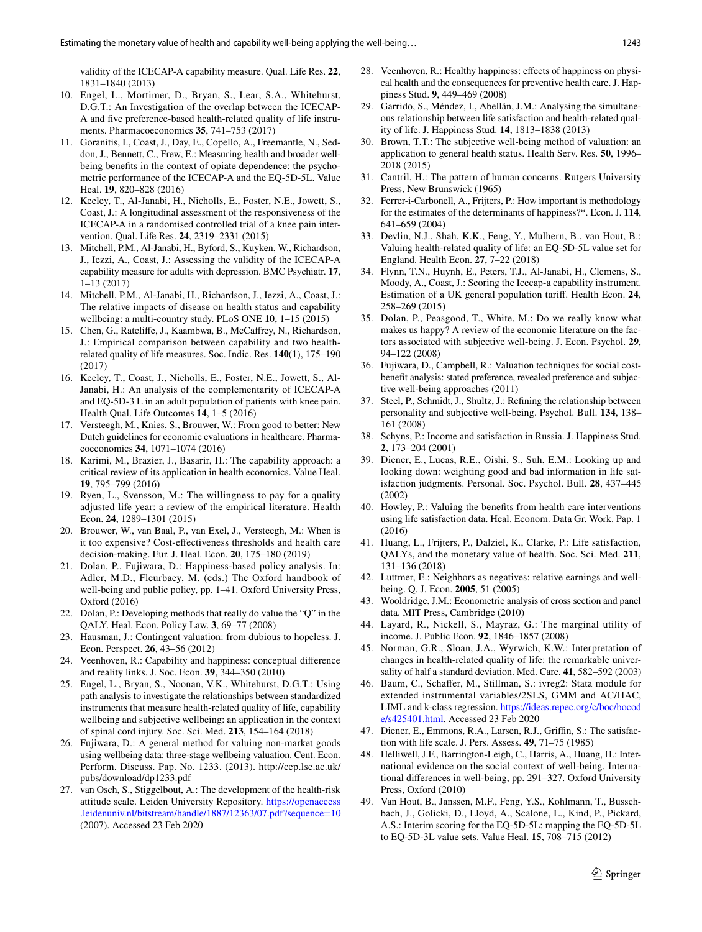validity of the ICECAP-A capability measure. Qual. Life Res. **22**, 1831–1840 (2013)

- 10. Engel, L., Mortimer, D., Bryan, S., Lear, S.A., Whitehurst, D.G.T.: An Investigation of the overlap between the ICECAP-A and fve preference-based health-related quality of life instruments. Pharmacoeconomics **35**, 741–753 (2017)
- 11. Goranitis, I., Coast, J., Day, E., Copello, A., Freemantle, N., Seddon, J., Bennett, C., Frew, E.: Measuring health and broader wellbeing benefts in the context of opiate dependence: the psychometric performance of the ICECAP-A and the EQ-5D-5L. Value Heal. **19**, 820–828 (2016)
- 12. Keeley, T., Al-Janabi, H., Nicholls, E., Foster, N.E., Jowett, S., Coast, J.: A longitudinal assessment of the responsiveness of the ICECAP-A in a randomised controlled trial of a knee pain intervention. Qual. Life Res. **24**, 2319–2331 (2015)
- 13. Mitchell, P.M., Al-Janabi, H., Byford, S., Kuyken, W., Richardson, J., Iezzi, A., Coast, J.: Assessing the validity of the ICECAP-A capability measure for adults with depression. BMC Psychiatr. **17**, 1–13 (2017)
- <span id="page-8-0"></span>14. Mitchell, P.M., Al-Janabi, H., Richardson, J., Iezzi, A., Coast, J.: The relative impacts of disease on health status and capability wellbeing: a multi-country study. PLoS ONE **10**, 1–15 (2015)
- <span id="page-8-1"></span>15. Chen, G., Ratclife, J., Kaambwa, B., McCafrey, N., Richardson, J.: Empirical comparison between capability and two healthrelated quality of life measures. Soc. Indic. Res. **140**(1), 175–190 (2017)
- <span id="page-8-2"></span>16. Keeley, T., Coast, J., Nicholls, E., Foster, N.E., Jowett, S., Al-Janabi, H.: An analysis of the complementarity of ICECAP-A and EQ-5D-3 L in an adult population of patients with knee pain. Health Qual. Life Outcomes **14**, 1–5 (2016)
- <span id="page-8-3"></span>17. Versteegh, M., Knies, S., Brouwer, W.: From good to better: New Dutch guidelines for economic evaluations in healthcare. Pharmacoeconomics **34**, 1071–1074 (2016)
- <span id="page-8-4"></span>18. Karimi, M., Brazier, J., Basarir, H.: The capability approach: a critical review of its application in health economics. Value Heal. **19**, 795–799 (2016)
- <span id="page-8-5"></span>19. Ryen, L., Svensson, M.: The willingness to pay for a quality adjusted life year: a review of the empirical literature. Health Econ. **24**, 1289–1301 (2015)
- <span id="page-8-6"></span>20. Brouwer, W., van Baal, P., van Exel, J., Versteegh, M.: When is it too expensive? Cost-efectiveness thresholds and health care decision-making. Eur. J. Heal. Econ. **20**, 175–180 (2019)
- <span id="page-8-7"></span>21. Dolan, P., Fujiwara, D.: Happiness-based policy analysis. In: Adler, M.D., Fleurbaey, M. (eds.) The Oxford handbook of well-being and public policy, pp. 1–41. Oxford University Press, Oxford (2016)
- <span id="page-8-8"></span>22. Dolan, P.: Developing methods that really do value the "Q" in the QALY. Heal. Econ. Policy Law. **3**, 69–77 (2008)
- <span id="page-8-9"></span>23. Hausman, J.: Contingent valuation: from dubious to hopeless. J. Econ. Perspect. **26**, 43–56 (2012)
- <span id="page-8-10"></span>24. Veenhoven, R.: Capability and happiness: conceptual diference and reality links. J. Soc. Econ. **39**, 344–350 (2010)
- <span id="page-8-11"></span>25. Engel, L., Bryan, S., Noonan, V.K., Whitehurst, D.G.T.: Using path analysis to investigate the relationships between standardized instruments that measure health-related quality of life, capability wellbeing and subjective wellbeing: an application in the context of spinal cord injury. Soc. Sci. Med. **213**, 154–164 (2018)
- <span id="page-8-12"></span>26. Fujiwara, D.: A general method for valuing non-market goods using wellbeing data: three-stage wellbeing valuation. Cent. Econ. Perform. Discuss. Pap. No. 1233. (2013). http://cep.lse.ac.uk/ pubs/download/dp1233.pdf
- <span id="page-8-13"></span>27. van Osch, S., Stiggelbout, A.: The development of the health-risk attitude scale. Leiden University Repository. [https://openaccess](https://openaccess.leidenuniv.nl/bitstream/handle/1887/12363/07.pdf?sequence=10) [.leidenuniv.nl/bitstream/handle/1887/12363/07.pdf?sequence=10](https://openaccess.leidenuniv.nl/bitstream/handle/1887/12363/07.pdf?sequence=10) (2007). Accessed 23 Feb 2020
- <span id="page-8-14"></span>28. Veenhoven, R.: Healthy happiness: efects of happiness on physical health and the consequences for preventive health care. J. Happiness Stud. **9**, 449–469 (2008)
- <span id="page-8-15"></span>29. Garrido, S., Méndez, I., Abellán, J.M.: Analysing the simultaneous relationship between life satisfaction and health-related quality of life. J. Happiness Stud. **14**, 1813–1838 (2013)
- <span id="page-8-16"></span>30. Brown, T.T.: The subjective well-being method of valuation: an application to general health status. Health Serv. Res. **50**, 1996– 2018 (2015)
- <span id="page-8-17"></span>31. Cantril, H.: The pattern of human concerns. Rutgers University Press, New Brunswick (1965)
- <span id="page-8-18"></span>32. Ferrer-i-Carbonell, A., Frijters, P.: How important is methodology for the estimates of the determinants of happiness?\*. Econ. J. **114**, 641–659 (2004)
- <span id="page-8-19"></span>33. Devlin, N.J., Shah, K.K., Feng, Y., Mulhern, B., van Hout, B.: Valuing health-related quality of life: an EQ-5D-5L value set for England. Health Econ. **27**, 7–22 (2018)
- <span id="page-8-20"></span>34. Flynn, T.N., Huynh, E., Peters, T.J., Al-Janabi, H., Clemens, S., Moody, A., Coast, J.: Scoring the Icecap-a capability instrument. Estimation of a UK general population tarif. Health Econ. **24**, 258–269 (2015)
- <span id="page-8-21"></span>35. Dolan, P., Peasgood, T., White, M.: Do we really know what makes us happy? A review of the economic literature on the factors associated with subjective well-being. J. Econ. Psychol. **29**, 94–122 (2008)
- <span id="page-8-22"></span>36. Fujiwara, D., Campbell, R.: Valuation techniques for social costbeneft analysis: stated preference, revealed preference and subjective well-being approaches (2011)
- <span id="page-8-23"></span>37. Steel, P., Schmidt, J., Shultz, J.: Refning the relationship between personality and subjective well-being. Psychol. Bull. **134**, 138– 161 (2008)
- <span id="page-8-24"></span>38. Schyns, P.: Income and satisfaction in Russia. J. Happiness Stud. **2**, 173–204 (2001)
- <span id="page-8-25"></span>39. Diener, E., Lucas, R.E., Oishi, S., Suh, E.M.: Looking up and looking down: weighting good and bad information in life satisfaction judgments. Personal. Soc. Psychol. Bull. **28**, 437–445 (2002)
- <span id="page-8-26"></span>40. Howley, P.: Valuing the benefts from health care interventions using life satisfaction data. Heal. Econom. Data Gr. Work. Pap. 1 (2016)
- <span id="page-8-27"></span>41. Huang, L., Frijters, P., Dalziel, K., Clarke, P.: Life satisfaction, QALYs, and the monetary value of health. Soc. Sci. Med. **211**, 131–136 (2018)
- <span id="page-8-28"></span>42. Luttmer, E.: Neighbors as negatives: relative earnings and wellbeing. Q. J. Econ. **2005**, 51 (2005)
- <span id="page-8-29"></span>43. Wooldridge, J.M.: Econometric analysis of cross section and panel data. MIT Press, Cambridge (2010)
- <span id="page-8-30"></span>44. Layard, R., Nickell, S., Mayraz, G.: The marginal utility of income. J. Public Econ. **92**, 1846–1857 (2008)
- <span id="page-8-31"></span>45. Norman, G.R., Sloan, J.A., Wyrwich, K.W.: Interpretation of changes in health-related quality of life: the remarkable universality of half a standard deviation. Med. Care. **41**, 582–592 (2003)
- <span id="page-8-32"></span>46. Baum, C., Schafer, M., Stillman, S.: ivreg2: Stata module for extended instrumental variables/2SLS, GMM and AC/HAC, LIML and k-class regression. [https://ideas.repec.org/c/boc/bocod](http://ideas.repec.org/c/boc/bocode/s425401.html) [e/s425401.html](http://ideas.repec.org/c/boc/bocode/s425401.html). Accessed 23 Feb 2020
- <span id="page-8-33"></span>47. Diener, E., Emmons, R.A., Larsen, R.J., Griffin, S.: The satisfaction with life scale. J. Pers. Assess. **49**, 71–75 (1985)
- <span id="page-8-34"></span>48. Helliwell, J.F., Barrington-Leigh, C., Harris, A., Huang, H.: International evidence on the social context of well-being. International diferences in well-being, pp. 291–327. Oxford University Press, Oxford (2010)
- <span id="page-8-35"></span>49. Van Hout, B., Janssen, M.F., Feng, Y.S., Kohlmann, T., Busschbach, J., Golicki, D., Lloyd, A., Scalone, L., Kind, P., Pickard, A.S.: Interim scoring for the EQ-5D-5L: mapping the EQ-5D-5L to EQ-5D-3L value sets. Value Heal. **15**, 708–715 (2012)